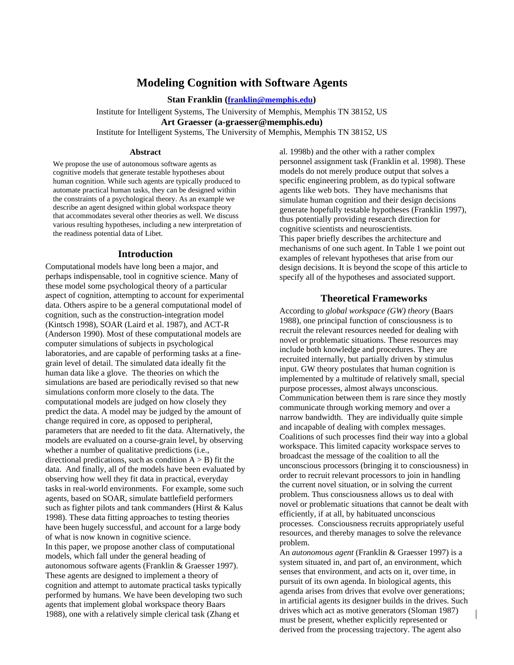# **Modeling Cognition with Software Agents**

**Stan Franklin (franklin@memphis.edu)**

Institute for Intelligent Systems, The University of Memphis, Memphis TN 38152, US **Art Graesser (a-graesser@memphis.edu)**

Institute for Intelligent Systems, The University of Memphis, Memphis TN 38152, US

#### **Abstract**

We propose the use of autonomous software agents as cognitive models that generate testable hypotheses about human cognition. While such agents are typically produced to automate practical human tasks, they can be designed within the constraints of a psychological theory. As an example we describe an agent designed within global workspace theory that accommodates several other theories as well. We discuss various resulting hypotheses, including a new interpretation of the readiness potential data of Libet.

### **Introduction**

Computational models have long been a major, and perhaps indispensable, tool in cognitive science. Many of these model some psychological theory of a particular aspect of cognition, attempting to account for experimental data. Others aspire to be a general computational model of cognition, such as the construction-integration model (Kintsch 1998), SOAR (Laird et al. 1987), and ACT-R (Anderson 1990). Most of these computational models are computer simulations of subjects in psychological laboratories, and are capable of performing tasks at a finegrain level of detail. The simulated data ideally fit the human data like a glove. The theories on which the simulations are based are periodically revised so that new simulations conform more closely to the data. The computational models are judged on how closely they predict the data. A model may be judged by the amount of change required in core, as opposed to peripheral, parameters that are needed to fit the data. Alternatively, the models are evaluated on a course-grain level, by observing whether a number of qualitative predictions (*i.e.*, directional predications, such as condition  $A > B$ ) fit the data. And finally, all of the models have been evaluated by observing how well they fit data in practical, everyday tasks in real-world environments. For example, some such agents, based on SOAR, simulate battlefield performers such as fighter pilots and tank commanders (Hirst & Kalus 1998). These data fitting approaches to testing theories have been hugely successful, and account for a large body of what is now known in cognitive science. In this paper, we propose another class of computational models, which fall under the general heading of autonomous software agents (Franklin & Graesser 1997). These agents are designed to implement a theory of cognition and attempt to automate practical tasks typically performed by humans. We have been developing two such agents that implement global workspace theory Baars 1988), one with a relatively simple clerical task (Zhang et

al. 1998b) and the other with a rather complex personnel assignment task (Franklin et al. 1998). These models do not merely produce output that solves a specific engineering problem, as do typical software agents like web bots. They have mechanisms that simulate human cognition and their design decisions generate hopefully testable hypotheses (Franklin 1997), thus potentially providing research direction for cognitive scientists and neuroscientists. This paper briefly describes the architecture and mechanisms of one such agent. In Table 1 we point out examples of relevant hypotheses that arise from our design decisions. It is beyond the scope of this article to specify all of the hypotheses and associated support.

# **Theoretical Frameworks**

According to *global workspace (GW) theory* (Baars 1988), one principal function of consciousness is to recruit the relevant resources needed for dealing with novel or problematic situations. These resources may include both knowledge and procedures. They are recruited internally, but partially driven by stimulus input. GW theory postulates that human cognition is implemented by a multitude of relatively small, special purpose processes, almost always unconscious. Communication between them is rare since they mostly communicate through working memory and over a narrow bandwidth. They are individually quite simple and incapable of dealing with complex messages. Coalitions of such processes find their way into a global workspace. This limited capacity workspace serves to broadcast the message of the coalition to all the unconscious processors (bringing it to consciousness) in order to recruit relevant processors to join in handling the current novel situation, or in solving the current problem. Thus consciousness allows us to deal with novel or problematic situations that cannot be dealt with efficiently, if at all, by habituated unconscious processes. Consciousness recruits appropriately useful resources, and thereby manages to solve the relevance problem.

An *autonomous agent* (Franklin & Graesser 1997) is a system situated in, and part of, an environment, which senses that environment, and acts on it, over time, in pursuit of its own agenda. In biological agents, this agenda arises from drives that evolve over generations; in artificial agents its designer builds in the drives. Such drives which act as motive generators (Sloman 1987) must be present, whether explicitly represented or derived from the processing trajectory. The agent also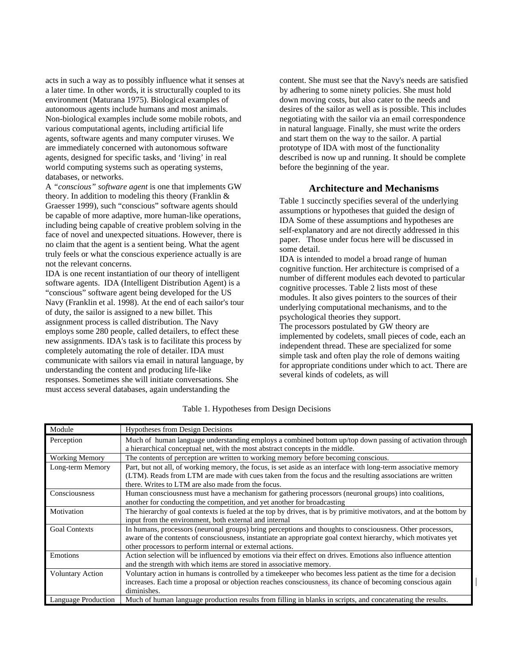acts in such a way as to possibly influence what it senses at a later time. In other words, it is structurally coupled to its environment (Maturana 1975). Biological examples of autonomous agents include humans and most animals. Non-biological examples include some mobile robots, and various computational agents, including artificial life agents, software agents and many computer viruses. We are immediately concerned with autonomous software agents, designed for specific tasks, and 'living' in real world computing systems such as operating systems, databases, or networks.

A *"conscious" software agent* is one that implements GW theory. In addition to modeling this theory (Franklin & Graesser 1999), such "conscious" software agents should be capable of more adaptive, more human-like operations, including being capable of creative problem solving in the face of novel and unexpected situations. However, there is no claim that the agent is a sentient being. What the agent truly feels or what the conscious experience actually is are not the relevant concerns.

IDA is one recent instantiation of our theory of intelligent software agents. IDA (Intelligent Distribution Agent) is a "conscious" software agent being developed for the US Navy (Franklin et al. 1998). At the end of each sailor's tour of duty, the sailor is assigned to a new billet. This assignment process is called distribution. The Navy employs some 280 people, called detailers, to effect these new assignments. IDA's task is to facilitate this process by completely automating the role of detailer. IDA must communicate with sailors via email in natural language, by understanding the content and producing life-like responses. Sometimes she will initiate conversations. She must access several databases, again understanding the

content. She must see that the Navy's needs are satisfied by adhering to some ninety policies. She must hold down moving costs, but also cater to the needs and desires of the sailor as well as is possible. This includes negotiating with the sailor via an email correspondence in natural language. Finally, she must write the orders and start them on the way to the sailor. A partial prototype of IDA with most of the functionality described is now up and running. It should be complete before the beginning of the year.

#### **Architecture and Mechanisms**

Table 1 succinctly specifies several of the underlying assumptions or hypotheses that guided the design of IDA Some of these assumptions and hypotheses are self-explanatory and are not directly addressed in this paper. Those under focus here will be discussed in some detail.

IDA is intended to model a broad range of human cognitive function. Her architecture is comprised of a number of different modules each devoted to particular cognitive processes. Table 2 lists most of these modules. It also gives pointers to the sources of their underlying computational mechanisms, and to the psychological theories they support.

The processors postulated by GW theory are implemented by codelets, small pieces of code, each an independent thread. These are specialized for some simple task and often play the role of demons waiting for appropriate conditions under which to act. There are several kinds of codelets, as will

| Module                  | <b>Hypotheses from Design Decisions</b>                                                                                                                                                                                      |  |  |
|-------------------------|------------------------------------------------------------------------------------------------------------------------------------------------------------------------------------------------------------------------------|--|--|
| Perception              | Much of human language understanding employs a combined bottom up/top down passing of activation through<br>a hierarchical conceptual net, with the most abstract concepts in the middle.                                    |  |  |
| <b>Working Memory</b>   | The contents of perception are written to working memory before becoming conscious.                                                                                                                                          |  |  |
| Long-term Memory        | Part, but not all, of working memory, the focus, is set aside as an interface with long-term associative memory                                                                                                              |  |  |
|                         | (LTM). Reads from LTM are made with cues taken from the focus and the resulting associations are written                                                                                                                     |  |  |
|                         | there. Writes to LTM are also made from the focus.                                                                                                                                                                           |  |  |
| Consciousness           | Human consciousness must have a mechanism for gathering processors (neuronal groups) into coalitions,                                                                                                                        |  |  |
|                         | another for conducting the competition, and yet another for broadcasting                                                                                                                                                     |  |  |
| Motivation              | The hierarchy of goal contexts is fueled at the top by drives, that is by primitive motivators, and at the bottom by                                                                                                         |  |  |
|                         | input from the environment, both external and internal                                                                                                                                                                       |  |  |
| <b>Goal Contexts</b>    | In humans, processors (neuronal groups) bring perceptions and thoughts to consciousness. Other processors,<br>aware of the contents of consciousness, instantiate an appropriate goal context hierarchy, which motivates yet |  |  |
|                         |                                                                                                                                                                                                                              |  |  |
|                         | other processors to perform internal or external actions.                                                                                                                                                                    |  |  |
| Emotions                | Action selection will be influenced by emotions via their effect on drives. Emotions also influence attention                                                                                                                |  |  |
|                         | and the strength with which items are stored in associative memory.                                                                                                                                                          |  |  |
| <b>Voluntary Action</b> | Voluntary action in humans is controlled by a time keeper who becomes less patient as the time for a decision                                                                                                                |  |  |
|                         | increases. Each time a proposal or objection reaches consciousness, its chance of becoming conscious again                                                                                                                   |  |  |
|                         | diminishes.                                                                                                                                                                                                                  |  |  |
| Language Production     | Much of human language production results from filling in blanks in scripts, and concatenating the results.                                                                                                                  |  |  |

Table 1. Hypotheses from Design Decisions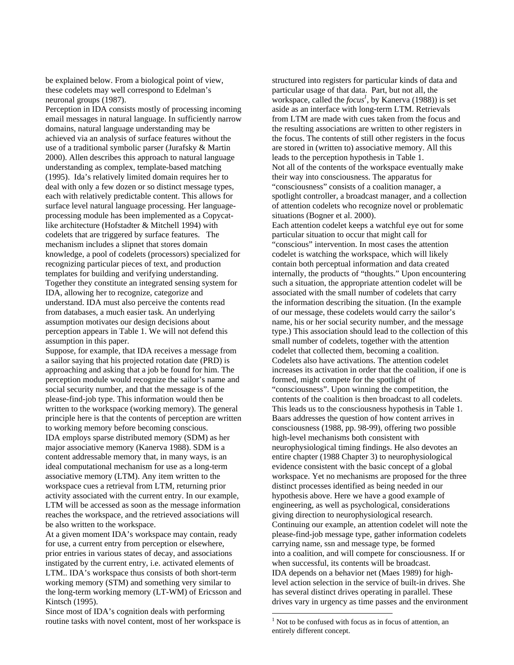be explained below. From a biological point of view, these codelets may well correspond to Edelman's neuronal groups (1987).

Perception in IDA consists mostly of processing incoming email messages in natural language. In sufficiently narrow domains, natural language understanding may be achieved via an analysis of surface features without the use of a traditional symbolic parser (Jurafsky & Martin 2000). Allen describes this approach to natural language understanding as complex, template-based matching (1995). Ida's relatively limited domain requires her to deal with only a few dozen or so distinct message types, each with relatively predictable content. This allows for surface level natural language processing. Her languageprocessing module has been implemented as a Copycatlike architecture (Hofstadter & Mitchell 1994) with codelets that are triggered by surface features. The mechanism includes a slipnet that stores domain knowledge, a pool of codelets (processors) specialized for recognizing particular pieces of text, and production templates for building and verifying understanding. Together they constitute an integrated sensing system for IDA, allowing her to recognize, categorize and understand. IDA must also perceive the contents read from databases, a much easier task. An underlying assumption motivates our design decisions about perception appears in Table 1. We will not defend this assumption in this paper.

Suppose, for example, that IDA receives a message from a sailor saying that his projected rotation date (PRD) is approaching and asking that a job be found for him. The perception module would recognize the sailor's name and social security number, and that the message is of the please-find-job type. This information would then be written to the workspace (working memory). The general principle here is that the contents of perception are written to working memory before becoming conscious. IDA employs sparse distributed memory (SDM) as her major associative memory (Kanerva 1988). SDM is a content addressable memory that, in many ways, is an ideal computational mechanism for use as a long-term associative memory (LTM). Any item written to the workspace cues a retrieval from LTM, returning prior activity associated with the current entry. In our example, LTM will be accessed as soon as the message information reaches the workspace, and the retrieved associations will be also written to the workspace.

At a given moment IDA's workspace may contain, ready for use, a current entry from perception or elsewhere, prior entries in various states of decay, and associations instigated by the current entry, i.e. activated elements of LTM.. IDA's workspace thus consists of both short-term working memory (STM) and something very similar to the long-term working memory (LT-WM) of Ericsson and Kintsch (1995).

Since most of IDA's cognition deals with performing routine tasks with novel content, most of her workspace is structured into registers for particular kinds of data and particular usage of that data. Part, but not all, the workspace, called the *focus<sup>1</sup>* , by Kanerva (1988)) is set aside as an interface with long-term LTM. Retrievals from LTM are made with cues taken from the focus and the resulting associations are written to other registers in the focus. The contents of still other registers in the focus are stored in (written to) associative memory. All this leads to the perception hypothesis in Table 1. Not all of the contents of the workspace eventually make their way into consciousness. The apparatus for "consciousness" consists of a coalition manager, a spotlight controller, a broadcast manager, and a collection of attention codelets who recognize novel or problematic situations (Bogner et al. 2000). Each attention codelet keeps a watchful eye out for some particular situation to occur that might call for "conscious" intervention. In most cases the attention codelet is watching the workspace, which will likely contain both perceptual information and data created internally, the products of "thoughts." Upon encountering such a situation, the appropriate attention codelet will be associated with the small number of codelets that carry the information describing the situation. (In the example of our message, these codelets would carry the sailor's name, his or her social security number, and the message type.) This association should lead to the collection of this small number of codelets, together with the attention codelet that collected them, becoming a coalition. Codelets also have activations. The attention codelet increases its activation in order that the coalition, if one is formed, might compete for the spotlight of "consciousness". Upon winning the competition, the contents of the coalition is then broadcast to all codelets. This leads us to the consciousness hypothesis in Table 1. Baars addresses the question of how content arrives in consciousness (1988, pp. 98-99), offering two possible high-level mechanisms both consistent with neurophysiological timing findings. He also devotes an entire chapter (1988 Chapter 3) to neurophysiological evidence consistent with the basic concept of a global workspace. Yet no mechanisms are proposed for the three distinct processes identified as being needed in our hypothesis above. Here we have a good example of engineering, as well as psychological, considerations giving direction to neurophysiological research. Continuing our example, an attention codelet will note the please-find-job message type, gather information codelets carrying name, ssn and message type, be formed into a coalition, and will compete for consciousness. If or when successful, its contents will be broadcast. IDA depends on a behavior net (Maes 1989) for highlevel action selection in the service of built-in drives. She

drives vary in urgency as time passes and the environment l

has several distinct drives operating in parallel. These

<sup>&</sup>lt;sup>1</sup> Not to be confused with focus as in focus of attention, an entirely different concept.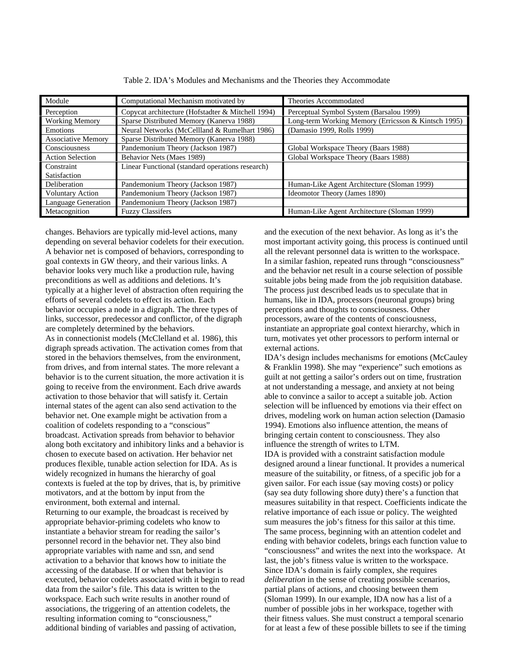| Module                    | Computational Mechanism motivated by              | Theories Accommodated                               |
|---------------------------|---------------------------------------------------|-----------------------------------------------------|
| Perception                | Copycat architecture (Hofstadter & Mitchell 1994) | Perceptual Symbol System (Barsalou 1999)            |
| <b>Working Memory</b>     | Sparse Distributed Memory (Kanerva 1988)          | Long-term Working Memory (Erricsson & Kintsch 1995) |
| Emotions                  | Neural Networks (McCellland & Rumelhart 1986)     | (Damasio 1999, Rolls 1999)                          |
| <b>Associative Memory</b> | Sparse Distributed Memory (Kanerva 1988)          |                                                     |
| Consciousness             | Pandemonium Theory (Jackson 1987)                 | Global Workspace Theory (Baars 1988)                |
| <b>Action Selection</b>   | Behavior Nets (Maes 1989)                         | Global Workspace Theory (Baars 1988)                |
| Constraint                | Linear Functional (standard operations research)  |                                                     |
| Satisfaction              |                                                   |                                                     |
| Deliberation              | Pandemonium Theory (Jackson 1987)                 | Human-Like Agent Architecture (Sloman 1999)         |
| <b>Voluntary Action</b>   | Pandemonium Theory (Jackson 1987)                 | Ideomotor Theory (James 1890)                       |
| Language Generation       | Pandemonium Theory (Jackson 1987)                 |                                                     |
| Metacognition             | <b>Fuzzy Classifers</b>                           | Human-Like Agent Architecture (Sloman 1999)         |

Table 2. IDA's Modules and Mechanisms and the Theories they Accommodate

changes. Behaviors are typically mid-level actions, many depending on several behavior codelets for their execution. A behavior net is composed of behaviors, corresponding to goal contexts in GW theory, and their various links. A behavior looks very much like a production rule, having preconditions as well as additions and deletions. It's typically at a higher level of abstraction often requiring the efforts of several codelets to effect its action. Each behavior occupies a node in a digraph. The three types of links, successor, predecessor and conflictor, of the digraph are completely determined by the behaviors. As in connectionist models (McClelland et al. 1986), this digraph spreads activation. The activation comes from that stored in the behaviors themselves, from the environment, from drives, and from internal states. The more relevant a behavior is to the current situation, the more activation it is going to receive from the environment. Each drive awards activation to those behavior that will satisfy it. Certain internal states of the agent can also send activation to the behavior net. One example might be activation from a coalition of codelets responding to a "conscious" broadcast. Activation spreads from behavior to behavior along both excitatory and inhibitory links and a behavior is chosen to execute based on activation. Her behavior net produces flexible, tunable action selection for IDA. As is widely recognized in humans the hierarchy of goal contexts is fueled at the top by drives, that is, by primitive motivators, and at the bottom by input from the environment, both external and internal*.* Returning to our example, the broadcast is received by appropriate behavior-priming codelets who know to instantiate a behavior stream for reading the sailor's personnel record in the behavior net. They also bind appropriate variables with name and ssn, and send activation to a behavior that knows how to initiate the accessing of the database. If or when that behavior is executed, behavior codelets associated with it begin to read data from the sailor's file. This data is written to the workspace. Each such write results in another round of associations, the triggering of an attention codelets, the resulting information coming to "consciousness," additional binding of variables and passing of activation,

and the execution of the next behavior. As long as it's the most important activity going, this process is continued until all the relevant personnel data is written to the workspace. In a similar fashion, repeated runs through "consciousness" and the behavior net result in a course selection of possible suitable jobs being made from the job requisition database. The process just described leads us to speculate that in humans, like in IDA, processors (neuronal groups) bring perceptions and thoughts to consciousness. Other processors, aware of the contents of consciousness, instantiate an appropriate goal context hierarchy, which in turn, motivates yet other processors to perform internal or external actions.

IDA's design includes mechanisms for emotions (McCauley & Franklin 1998). She may "experience" such emotions as guilt at not getting a sailor's orders out on time, frustration at not understanding a message, and anxiety at not being able to convince a sailor to accept a suitable job. Action selection will be influenced by emotions via their effect on drives, modeling work on human action selection (Damasio 1994). Emotions also influence attention, the means of bringing certain content to consciousness. They also influence the strength of writes to LTM.

IDA is provided with a constraint satisfaction module designed around a linear functional. It provides a numerical measure of the suitability, or fitness, of a specific job for a given sailor. For each issue (say moving costs) or policy (say sea duty following shore duty) there's a function that measures suitability in that respect. Coefficients indicate the relative importance of each issue or policy. The weighted sum measures the job's fitness for this sailor at this time. The same process, beginning with an attention codelet and ending with behavior codelets, brings each function value to "consciousness" and writes the next into the workspace. At last, the job's fitness value is written to the workspace. Since IDA's domain is fairly complex, she requires *deliberation* in the sense of creating possible scenarios, partial plans of actions, and choosing between them (Sloman 1999). In our example, IDA now has a list of a number of possible jobs in her workspace, together with their fitness values. She must construct a temporal scenario for at least a few of these possible billets to see if the timing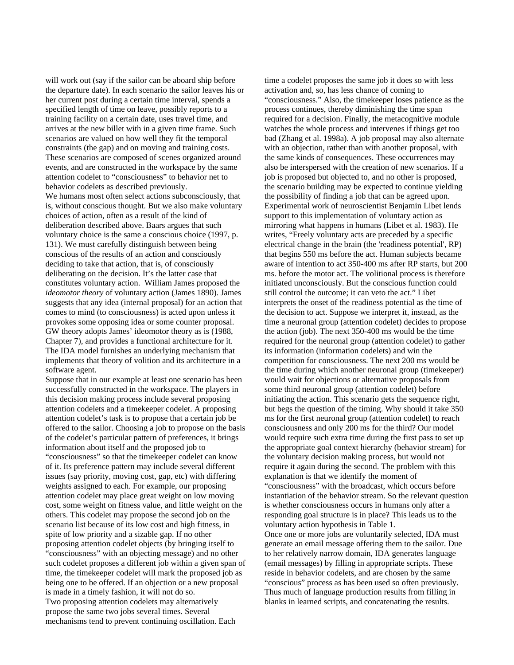will work out (say if the sailor can be aboard ship before the departure date). In each scenario the sailor leaves his or her current post during a certain time interval, spends a specified length of time on leave, possibly reports to a training facility on a certain date, uses travel time, and arrives at the new billet with in a given time frame. Such scenarios are valued on how well they fit the temporal constraints (the gap) and on moving and training costs. These scenarios are composed of scenes organized around events, and are constructed in the workspace by the same attention codelet to "consciousness" to behavior net to behavior codelets as described previously.

We humans most often select actions subconsciously, that is, without conscious thought. But we also make voluntary choices of action, often as a result of the kind of deliberation described above. Baars argues that such voluntary choice is the same a conscious choice (1997, p. 131). We must carefully distinguish between being conscious of the results of an action and consciously deciding to take that action, that is, of consciously deliberating on the decision. It's the latter case that constitutes voluntary action. William James proposed the *ideomotor theory* of voluntary action (James 1890). James suggests that any idea (internal proposal) for an action that comes to mind (to consciousness) is acted upon unless it provokes some opposing idea or some counter proposal. GW theory adopts James' ideomotor theory as is (1988, Chapter 7), and provides a functional architecture for it. The IDA model furnishes an underlying mechanism that implements that theory of volition and its architecture in a software agent.

Suppose that in our example at least one scenario has been successfully constructed in the workspace. The players in this decision making process include several proposing attention codelets and a timekeeper codelet. A proposing attention codelet's task is to propose that a certain job be offered to the sailor. Choosing a job to propose on the basis of the codelet's particular pattern of preferences, it brings information about itself and the proposed job to "consciousness" so that the timekeeper codelet can know of it. Its preference pattern may include several different issues (say priority, moving cost, gap, etc) with differing weights assigned to each. For example, our proposing attention codelet may place great weight on low moving cost, some weight on fitness value, and little weight on the others. This codelet may propose the second job on the scenario list because of its low cost and high fitness, in spite of low priority and a sizable gap. If no other proposing attention codelet objects (by bringing itself to "consciousness" with an objecting message) and no other such codelet proposes a different job within a given span of time, the timekeeper codelet will mark the proposed job as being one to be offered. If an objection or a new proposal is made in a timely fashion, it will not do so. Two proposing attention codelets may alternatively propose the same two jobs several times. Several mechanisms tend to prevent continuing oscillation. Each

time a codelet proposes the same job it does so with less activation and, so, has less chance of coming to "consciousness." Also, the timekeeper loses patience as the process continues, thereby diminishing the time span required for a decision. Finally, the metacognitive module watches the whole process and intervenes if things get too bad (Zhang et al. 1998a). A job proposal may also alternate with an objection, rather than with another proposal, with the same kinds of consequences. These occurrences may also be interspersed with the creation of new scenarios. If a job is proposed but objected to, and no other is proposed, the scenario building may be expected to continue yielding the possibility of finding a job that can be agreed upon. Experimental work of neuroscientist Benjamin Libet lends support to this implementation of voluntary action as mirroring what happens in humans (Libet et al. 1983). He writes, "Freely voluntary acts are preceded by a specific electrical change in the brain (the 'readiness potential', RP) that begins 550 ms before the act. Human subjects became aware of intention to act 350-400 ms after RP starts, but 200 ms. before the motor act. The volitional process is therefore initiated unconsciously. But the conscious function could still control the outcome; it can veto the act." Libet interprets the onset of the readiness potential as the time of the decision to act. Suppose we interpret it, instead, as the time a neuronal group (attention codelet) decides to propose the action (job). The next 350-400 ms would be the time required for the neuronal group (attention codelet) to gather its information (information codelets) and win the competition for consciousness. The next 200 ms would be the time during which another neuronal group (timekeeper) would wait for objections or alternative proposals from some third neuronal group (attention codelet) before initiating the action. This scenario gets the sequence right, but begs the question of the timing. Why should it take 350 ms for the first neuronal group (attention codelet) to reach consciousness and only 200 ms for the third? Our model would require such extra time during the first pass to set up the appropriate goal context hierarchy (behavior stream) for the voluntary decision making process, but would not require it again during the second. The problem with this explanation is that we identify the moment of "consciousness" with the broadcast, which occurs before instantiation of the behavior stream. So the relevant question is whether consciousness occurs in humans only after a responding goal structure is in place? This leads us to the voluntary action hypothesis in Table 1. Once one or more jobs are voluntarily selected, IDA must generate an email message offering them to the sailor. Due to her relatively narrow domain, IDA generates language (email messages) by filling in appropriate scripts. These reside in behavior codelets, and are chosen by the same "conscious" process as has been used so often previously. Thus much of language production results from filling in blanks in learned scripts, and concatenating the results.